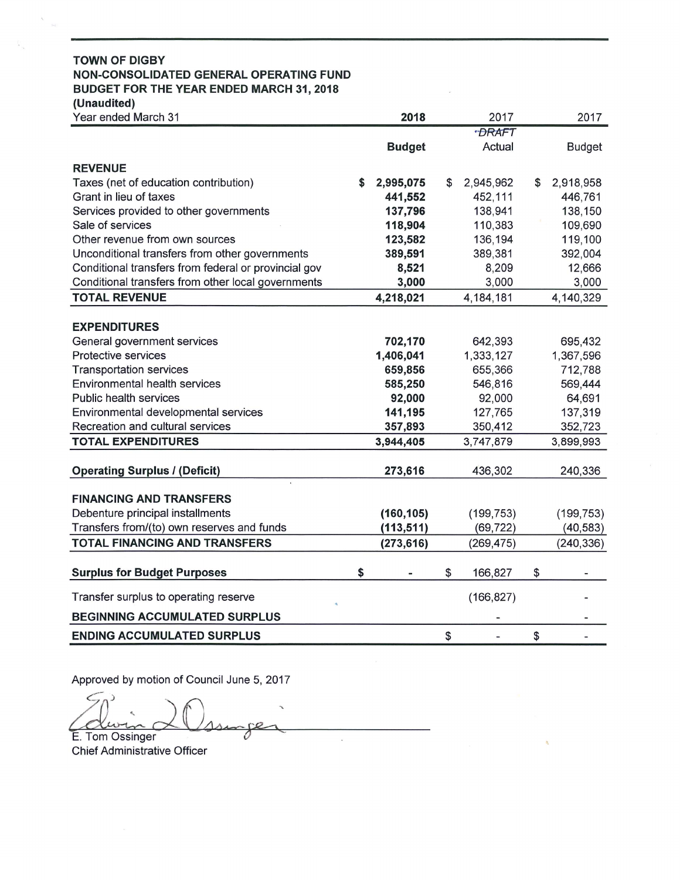### **TOWN OF DIGBY** NON-CONSOLIDATED GENERAL OPERATING FUND BUDGET FOR THE YEAR ENDED MARCH 31, 2018 (Unaudited)

| Year ended March 31                                  | 2018            | 2017 |              | 2017 |               |  |
|------------------------------------------------------|-----------------|------|--------------|------|---------------|--|
|                                                      |                 |      | <b>DRAFT</b> |      |               |  |
|                                                      | <b>Budget</b>   |      | Actual       |      | <b>Budget</b> |  |
| <b>REVENUE</b>                                       |                 |      |              |      |               |  |
| Taxes (net of education contribution)                | \$<br>2,995,075 | \$   | 2,945,962    | \$   | 2,918,958     |  |
| Grant in lieu of taxes                               | 441,552         |      | 452,111      |      | 446,761       |  |
| Services provided to other governments               | 137,796         |      | 138,941      |      | 138,150       |  |
| Sale of services                                     | 118,904         |      | 110,383      |      | 109,690       |  |
| Other revenue from own sources                       | 123,582         |      | 136,194      |      | 119,100       |  |
| Unconditional transfers from other governments       | 389,591         |      | 389,381      |      | 392,004       |  |
| Conditional transfers from federal or provincial gov | 8,521           |      | 8,209        |      | 12,666        |  |
| Conditional transfers from other local governments   | 3,000           |      | 3,000        |      | 3,000         |  |
| <b>TOTAL REVENUE</b>                                 | 4,218,021       |      | 4,184,181    |      | 4,140,329     |  |
|                                                      |                 |      |              |      |               |  |
| <b>EXPENDITURES</b>                                  |                 |      |              |      |               |  |
| General government services                          | 702,170         |      | 642,393      |      | 695,432       |  |
| Protective services                                  | 1,406,041       |      | 1,333,127    |      | 1,367,596     |  |
| <b>Transportation services</b>                       | 659,856         |      | 655,366      |      | 712,788       |  |
| <b>Environmental health services</b>                 | 585,250         |      | 546,816      |      | 569,444       |  |
| Public health services                               | 92,000          |      | 92,000       |      | 64,691        |  |
| Environmental developmental services                 | 141,195         |      | 127,765      |      | 137,319       |  |
| Recreation and cultural services                     | 357,893         |      | 350,412      |      | 352,723       |  |
| <b>TOTAL EXPENDITURES</b>                            | 3,944,405       |      | 3,747,879    |      | 3,899,993     |  |
|                                                      |                 |      |              |      |               |  |
| <b>Operating Surplus / (Deficit)</b>                 | 273,616         |      | 436,302      |      | 240,336       |  |
| <b>FINANCING AND TRANSFERS</b>                       |                 |      |              |      |               |  |
| Debenture principal installments                     | (160, 105)      |      | (199, 753)   |      | (199, 753)    |  |
| Transfers from/(to) own reserves and funds           | (113, 511)      |      | (69, 722)    |      | (40, 583)     |  |
| <b>TOTAL FINANCING AND TRANSFERS</b>                 | (273, 616)      |      | (269, 475)   |      | (240, 336)    |  |
|                                                      |                 |      |              |      |               |  |
| <b>Surplus for Budget Purposes</b>                   | \$              | \$   | 166,827      | \$   |               |  |
| Transfer surplus to operating reserve                |                 |      | (166, 827)   |      |               |  |
| <b>BEGINNING ACCUMULATED SURPLUS</b>                 |                 |      |              |      |               |  |
| <b>ENDING ACCUMULATED SURPLUS</b>                    |                 | \$   |              | \$   |               |  |

Approved by motion of Council June 5, 2017

E. Tom Ossinger **Chief Administrative Officer**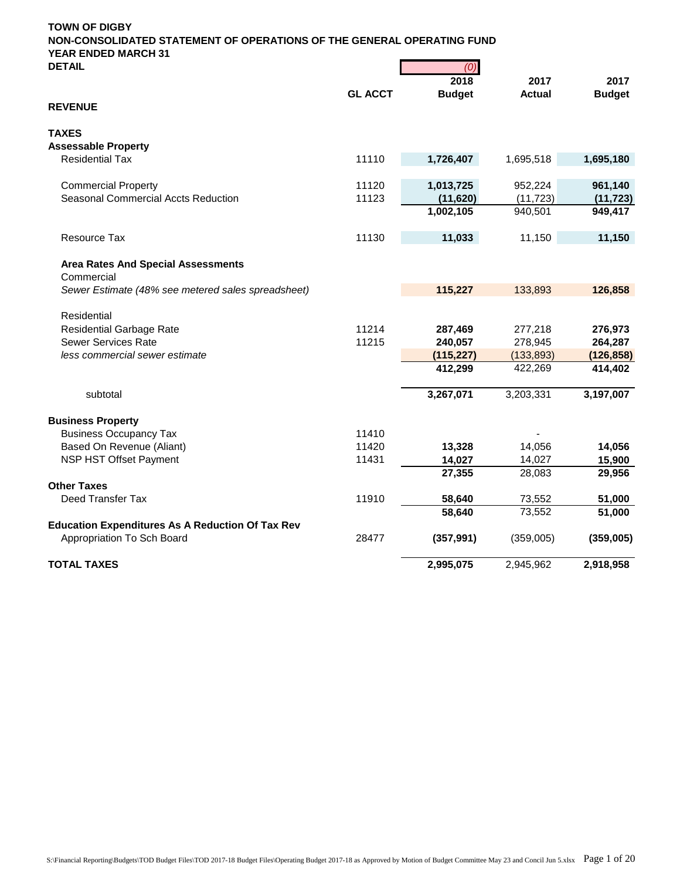| <b>DETAIL</b>                                           |                | (0)           |               |               |
|---------------------------------------------------------|----------------|---------------|---------------|---------------|
|                                                         |                | 2018          | 2017          | 2017          |
| <b>REVENUE</b>                                          | <b>GL ACCT</b> | <b>Budget</b> | <b>Actual</b> | <b>Budget</b> |
| <b>TAXES</b>                                            |                |               |               |               |
| <b>Assessable Property</b>                              |                |               |               |               |
| <b>Residential Tax</b>                                  | 11110          | 1,726,407     | 1,695,518     | 1,695,180     |
| <b>Commercial Property</b>                              | 11120          | 1,013,725     | 952,224       | 961,140       |
| Seasonal Commercial Accts Reduction                     | 11123          | (11, 620)     | (11, 723)     | (11, 723)     |
|                                                         |                | 1,002,105     | 940,501       | 949,417       |
| Resource Tax                                            | 11130          | 11,033        | 11,150        | 11,150        |
| <b>Area Rates And Special Assessments</b>               |                |               |               |               |
| Commercial                                              |                |               |               |               |
| Sewer Estimate (48% see metered sales spreadsheet)      |                | 115,227       | 133,893       | 126,858       |
| Residential                                             |                |               |               |               |
| <b>Residential Garbage Rate</b>                         | 11214          | 287,469       | 277,218       | 276,973       |
| <b>Sewer Services Rate</b>                              | 11215          | 240,057       | 278,945       | 264,287       |
| less commercial sewer estimate                          |                | (115, 227)    | (133, 893)    | (126, 858)    |
|                                                         |                | 412,299       | 422,269       | 414,402       |
| subtotal                                                |                | 3,267,071     | 3,203,331     | 3,197,007     |
| <b>Business Property</b>                                |                |               |               |               |
| <b>Business Occupancy Tax</b>                           | 11410          |               |               |               |
| Based On Revenue (Aliant)                               | 11420          | 13,328        | 14,056        | 14,056        |
| NSP HST Offset Payment                                  | 11431          | 14,027        | 14,027        | 15,900        |
| <b>Other Taxes</b>                                      |                | 27,355        | 28,083        | 29,956        |
| Deed Transfer Tax                                       | 11910          | 58,640        | 73,552        | 51,000        |
|                                                         |                | 58,640        | 73,552        | 51,000        |
| <b>Education Expenditures As A Reduction Of Tax Rev</b> |                |               |               |               |
| Appropriation To Sch Board                              | 28477          | (357, 991)    | (359,005)     | (359,005)     |
| <b>TOTAL TAXES</b>                                      |                | 2,995,075     | 2,945,962     | 2,918,958     |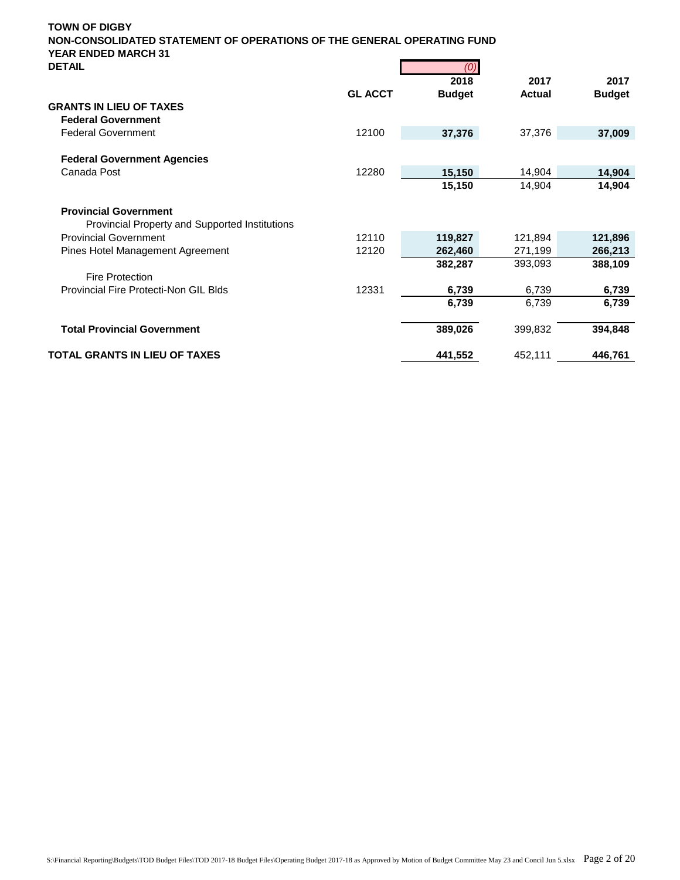| DETAIL                                                                         |                | (0)           |               |               |
|--------------------------------------------------------------------------------|----------------|---------------|---------------|---------------|
|                                                                                |                | 2018          | 2017          | 2017          |
|                                                                                | <b>GL ACCT</b> | <b>Budget</b> | <b>Actual</b> | <b>Budget</b> |
| <b>GRANTS IN LIEU OF TAXES</b>                                                 |                |               |               |               |
| <b>Federal Government</b>                                                      |                |               |               |               |
| <b>Federal Government</b>                                                      | 12100          | 37,376        | 37,376        | 37,009        |
| <b>Federal Government Agencies</b>                                             |                |               |               |               |
| Canada Post                                                                    | 12280          | 15,150        | 14,904        | 14,904        |
|                                                                                |                | 15,150        | 14,904        | 14,904        |
| <b>Provincial Government</b><br>Provincial Property and Supported Institutions |                |               |               |               |
| <b>Provincial Government</b>                                                   | 12110          | 119,827       | 121,894       | 121,896       |
| Pines Hotel Management Agreement                                               | 12120          | 262,460       | 271,199       | 266,213       |
|                                                                                |                | 382,287       | 393,093       | 388,109       |
| <b>Fire Protection</b>                                                         |                |               |               |               |
| <b>Provincial Fire Protecti-Non GIL Blds</b>                                   | 12331          | 6,739         | 6,739         | 6,739         |
|                                                                                |                | 6,739         | 6,739         | 6,739         |
| <b>Total Provincial Government</b>                                             |                | 389,026       | 399,832       | 394,848       |
| TOTAL GRANTS IN LIEU OF TAXES                                                  |                | 441,552       | 452,111       | 446,761       |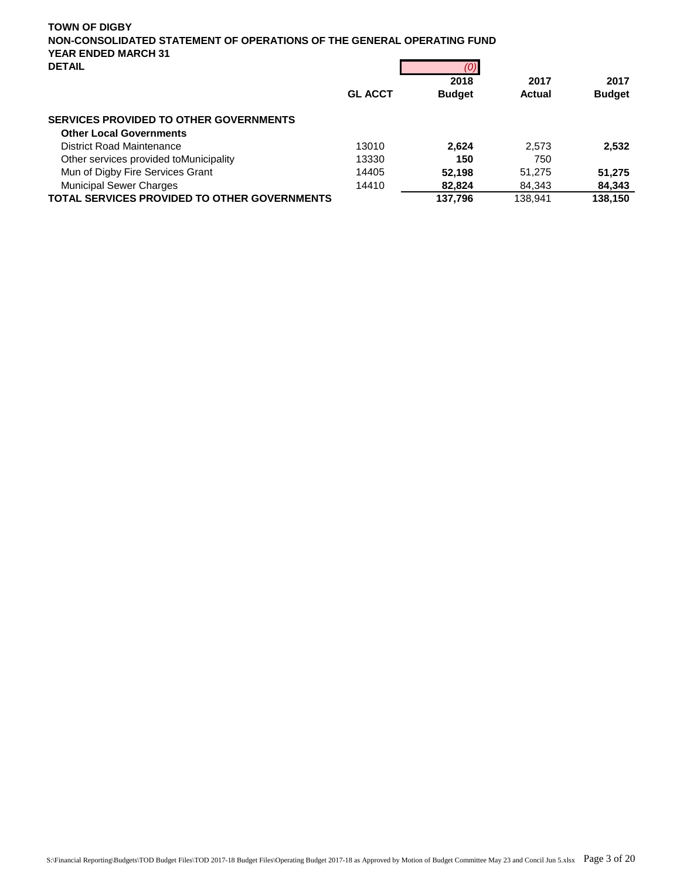|                                                     | <b>GL ACCT</b> | $\mathbf{v}$<br>2018<br><b>Budget</b> | 2017<br>Actual | 2017<br><b>Budget</b> |
|-----------------------------------------------------|----------------|---------------------------------------|----------------|-----------------------|
| <b>SERVICES PROVIDED TO OTHER GOVERNMENTS</b>       |                |                                       |                |                       |
| <b>Other Local Governments</b>                      |                |                                       |                |                       |
| District Road Maintenance                           | 13010          | 2.624                                 | 2.573          | 2.532                 |
| Other services provided toMunicipality              | 13330          | 150                                   | 750            |                       |
| Mun of Digby Fire Services Grant                    | 14405          | 52.198                                | 51.275         | 51,275                |
| <b>Municipal Sewer Charges</b>                      | 14410          | 82.824                                | 84.343         | 84,343                |
| <b>TOTAL SERVICES PROVIDED TO OTHER GOVERNMENTS</b> |                | 137.796                               | 138.941        | 138,150               |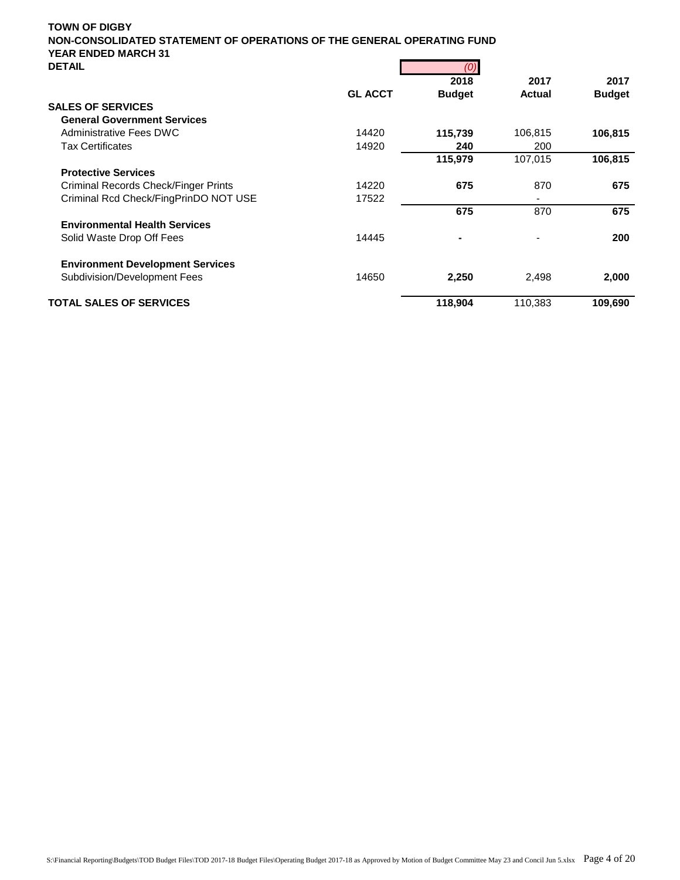| DETAIL                                  |                | (U)           |                          |               |
|-----------------------------------------|----------------|---------------|--------------------------|---------------|
|                                         |                | 2018          | 2017                     | 2017          |
|                                         | <b>GL ACCT</b> | <b>Budget</b> | Actual                   | <b>Budget</b> |
| <b>SALES OF SERVICES</b>                |                |               |                          |               |
| <b>General Government Services</b>      |                |               |                          |               |
| <b>Administrative Fees DWC</b>          | 14420          | 115,739       | 106,815                  | 106,815       |
| <b>Tax Certificates</b>                 | 14920          | 240           | 200                      |               |
|                                         |                | 115,979       | 107,015                  | 106,815       |
| <b>Protective Services</b>              |                |               |                          |               |
| Criminal Records Check/Finger Prints    | 14220          | 675           | 870                      | 675           |
| Criminal Rcd Check/FingPrinDO NOT USE   | 17522          |               | $\overline{\phantom{a}}$ |               |
|                                         |                | 675           | 870                      | 675           |
| <b>Environmental Health Services</b>    |                |               |                          |               |
| Solid Waste Drop Off Fees               | 14445          | ٠             |                          | 200           |
| <b>Environment Development Services</b> |                |               |                          |               |
| Subdivision/Development Fees            | 14650          | 2,250         | 2,498                    | 2,000         |
| <b>TOTAL SALES OF SERVICES</b>          |                | 118,904       | 110,383                  | 109,690       |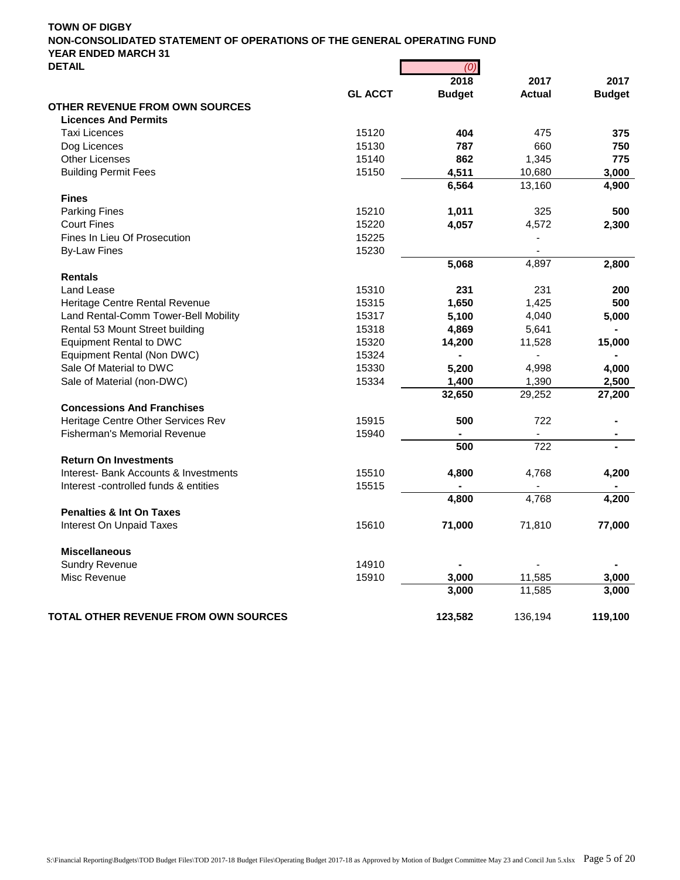|                | 2018                                                        | 2017                                                                                                                     | 2017                                                                                                           |
|----------------|-------------------------------------------------------------|--------------------------------------------------------------------------------------------------------------------------|----------------------------------------------------------------------------------------------------------------|
| <b>GL ACCT</b> |                                                             | <b>Actual</b>                                                                                                            | <b>Budget</b>                                                                                                  |
|                |                                                             |                                                                                                                          |                                                                                                                |
|                |                                                             |                                                                                                                          |                                                                                                                |
| 15120          | 404                                                         | 475                                                                                                                      | 375                                                                                                            |
| 15130          | 787                                                         |                                                                                                                          | 750                                                                                                            |
| 15140          | 862                                                         |                                                                                                                          | 775                                                                                                            |
| 15150          | 4,511                                                       | 10,680                                                                                                                   | 3,000                                                                                                          |
|                | 6,564                                                       | 13,160                                                                                                                   | 4,900                                                                                                          |
|                |                                                             |                                                                                                                          |                                                                                                                |
| 15210          | 1,011                                                       | 325                                                                                                                      | 500                                                                                                            |
| 15220          | 4,057                                                       | 4,572                                                                                                                    | 2,300                                                                                                          |
| 15225          |                                                             |                                                                                                                          |                                                                                                                |
| 15230          |                                                             |                                                                                                                          |                                                                                                                |
|                | 5,068                                                       | 4,897                                                                                                                    | 2,800                                                                                                          |
|                |                                                             |                                                                                                                          |                                                                                                                |
| 15310          | 231                                                         | 231                                                                                                                      | 200                                                                                                            |
| 15315          |                                                             | 1,425                                                                                                                    | 500                                                                                                            |
| 15317          |                                                             |                                                                                                                          | 5,000                                                                                                          |
| 15318          |                                                             |                                                                                                                          |                                                                                                                |
| 15320          |                                                             |                                                                                                                          | 15,000                                                                                                         |
| 15324          | ä,                                                          |                                                                                                                          |                                                                                                                |
|                |                                                             |                                                                                                                          | 4,000                                                                                                          |
|                |                                                             |                                                                                                                          | 2,500                                                                                                          |
|                |                                                             |                                                                                                                          | 27,200                                                                                                         |
|                |                                                             |                                                                                                                          |                                                                                                                |
|                |                                                             |                                                                                                                          |                                                                                                                |
|                |                                                             |                                                                                                                          | $\blacksquare$                                                                                                 |
|                |                                                             |                                                                                                                          |                                                                                                                |
|                |                                                             |                                                                                                                          |                                                                                                                |
|                |                                                             |                                                                                                                          | 4,200                                                                                                          |
|                |                                                             |                                                                                                                          |                                                                                                                |
|                |                                                             |                                                                                                                          | 4,200                                                                                                          |
|                |                                                             |                                                                                                                          |                                                                                                                |
|                |                                                             |                                                                                                                          | 77,000                                                                                                         |
|                |                                                             |                                                                                                                          |                                                                                                                |
|                |                                                             |                                                                                                                          |                                                                                                                |
| 14910          |                                                             |                                                                                                                          |                                                                                                                |
| 15910          | 3,000                                                       | 11,585                                                                                                                   | 3,000                                                                                                          |
|                | 3,000                                                       | 11,585                                                                                                                   | 3,000                                                                                                          |
|                | 123,582                                                     | 136,194                                                                                                                  | 119,100                                                                                                        |
|                | 15330<br>15334<br>15915<br>15940<br>15510<br>15515<br>15610 | <b>Budget</b><br>1,650<br>5,100<br>4,869<br>14,200<br>5,200<br>1,400<br>32,650<br>500<br>500<br>4,800<br>4,800<br>71,000 | 660<br>1,345<br>4,040<br>5,641<br>11,528<br>4,998<br>1,390<br>29,252<br>722<br>722<br>4,768<br>4,768<br>71,810 |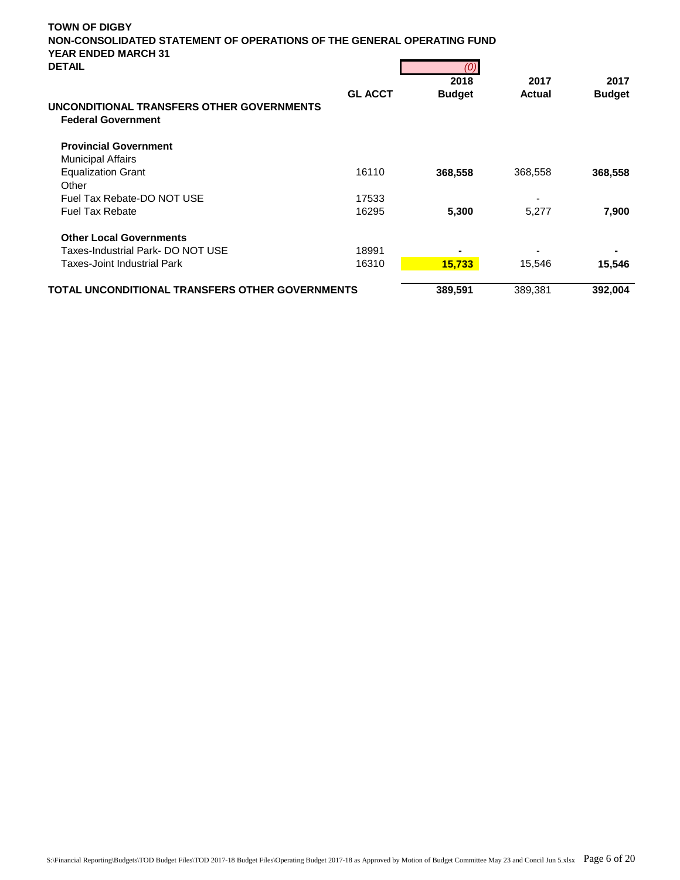| <b>TOWN OF DIGBY</b><br>NON-CONSOLIDATED STATEMENT OF OPERATIONS OF THE GENERAL OPERATING FUND<br><b>YEAR ENDED MARCH 31</b> |                                                        |               |               |  |  |
|------------------------------------------------------------------------------------------------------------------------------|--------------------------------------------------------|---------------|---------------|--|--|
|                                                                                                                              |                                                        |               |               |  |  |
|                                                                                                                              | (0)                                                    |               |               |  |  |
|                                                                                                                              | 2018                                                   | 2017          | 2017          |  |  |
| <b>GL ACCT</b>                                                                                                               |                                                        | <b>Actual</b> | <b>Budget</b> |  |  |
|                                                                                                                              |                                                        |               |               |  |  |
|                                                                                                                              |                                                        |               |               |  |  |
|                                                                                                                              |                                                        |               |               |  |  |
| 16110                                                                                                                        | 368,558                                                | 368,558       | 368,558       |  |  |
|                                                                                                                              |                                                        |               |               |  |  |
| 17533                                                                                                                        |                                                        |               |               |  |  |
| 16295                                                                                                                        | 5,300                                                  | 5,277         | 7,900         |  |  |
|                                                                                                                              |                                                        |               |               |  |  |
| 18991                                                                                                                        |                                                        |               |               |  |  |
| 16310                                                                                                                        | 15,733                                                 | 15,546        | 15,546        |  |  |
|                                                                                                                              | 389,591                                                | 389,381       | 392,004       |  |  |
|                                                                                                                              | <b>TOTAL UNCONDITIONAL TRANSFERS OTHER GOVERNMENTS</b> | <b>Budget</b> |               |  |  |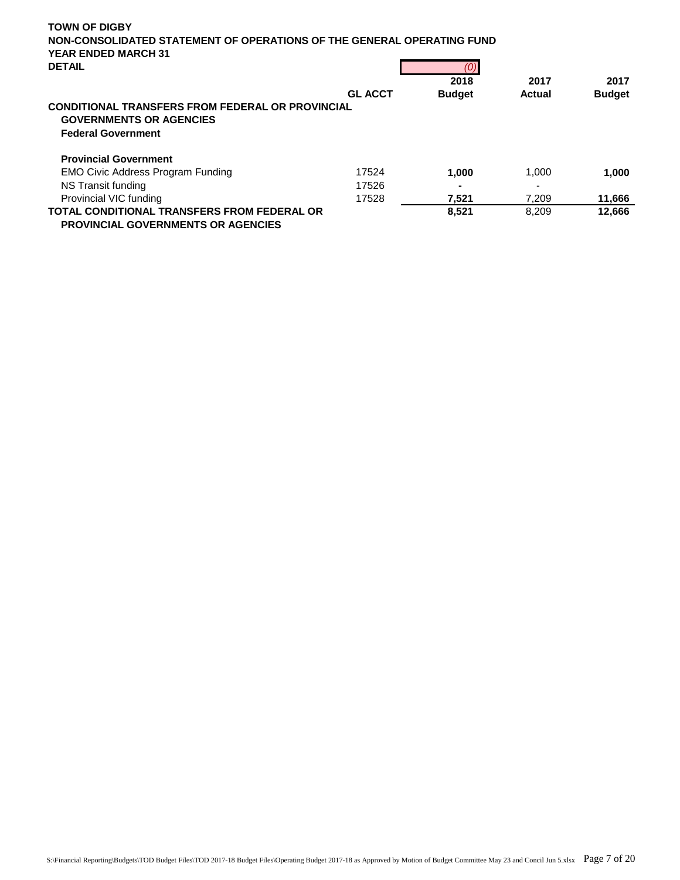| <b>TOWN OF DIGBY</b><br>NON-CONSOLIDATED STATEMENT OF OPERATIONS OF THE GENERAL OPERATING FUND<br><b>YEAR ENDED MARCH 31</b> |                |               |               |               |
|------------------------------------------------------------------------------------------------------------------------------|----------------|---------------|---------------|---------------|
| <b>DETAIL</b>                                                                                                                |                | (0)           |               |               |
|                                                                                                                              |                | 2018          | 2017          | 2017          |
|                                                                                                                              | <b>GL ACCT</b> | <b>Budget</b> | <b>Actual</b> | <b>Budget</b> |
| <b>CONDITIONAL TRANSFERS FROM FEDERAL OR PROVINCIAL</b><br><b>GOVERNMENTS OR AGENCIES</b><br><b>Federal Government</b>       |                |               |               |               |
| <b>Provincial Government</b>                                                                                                 |                |               |               |               |
| <b>EMO Civic Address Program Funding</b>                                                                                     | 17524          | 1.000         | 1.000         | 1,000         |
| NS Transit funding                                                                                                           | 17526          |               |               |               |
| Provincial VIC funding                                                                                                       | 17528          | 7,521         | 7,209         | 11,666        |
| <b>TOTAL CONDITIONAL TRANSFERS FROM FEDERAL OR</b><br><b>PROVINCIAL GOVERNMENTS OR AGENCIES</b>                              |                | 8,521         | 8,209         | 12.666        |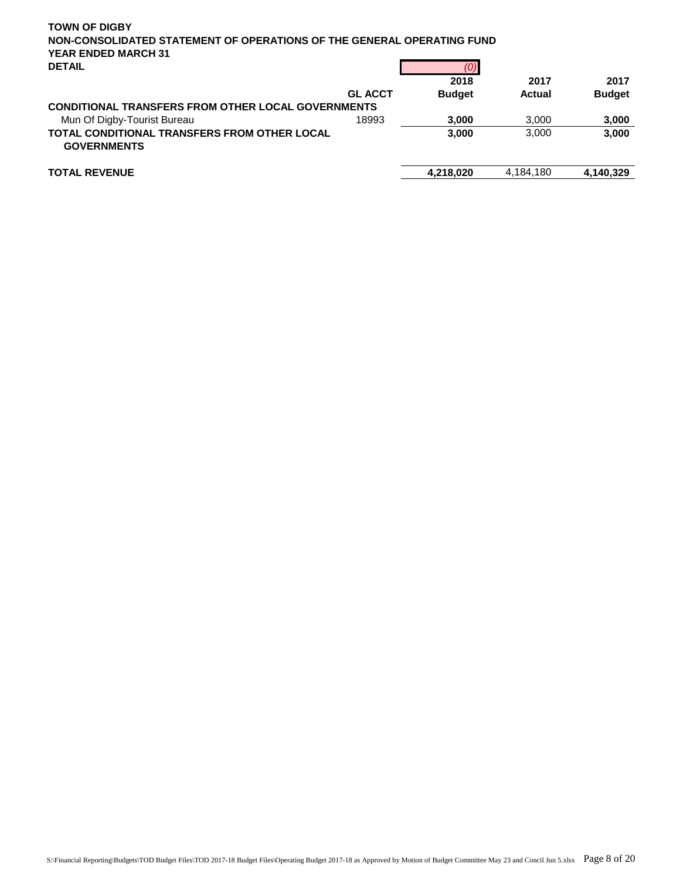| <b>TOWN OF DIGBY</b><br>NON-CONSOLIDATED STATEMENT OF OPERATIONS OF THE GENERAL OPERATING FUND<br><b>YEAR ENDED MARCH 31</b><br><b>DETAIL</b> |                |               |           |               |
|-----------------------------------------------------------------------------------------------------------------------------------------------|----------------|---------------|-----------|---------------|
|                                                                                                                                               |                | 2018          | 2017      | 2017          |
|                                                                                                                                               | <b>GL ACCT</b> | <b>Budget</b> | Actual    | <b>Budget</b> |
| <b>CONDITIONAL TRANSFERS FROM OTHER LOCAL GOVERNMENTS</b>                                                                                     |                |               |           |               |
| Mun Of Digby-Tourist Bureau                                                                                                                   | 18993          | 3,000         | 3.000     | 3,000         |
| <b>TOTAL CONDITIONAL TRANSFERS FROM OTHER LOCAL</b><br><b>GOVERNMENTS</b>                                                                     |                | 3.000         | 3.000     | 3,000         |
| <b>TOTAL REVENUE</b>                                                                                                                          |                | 4.218.020     | 4,184,180 | 4.140.329     |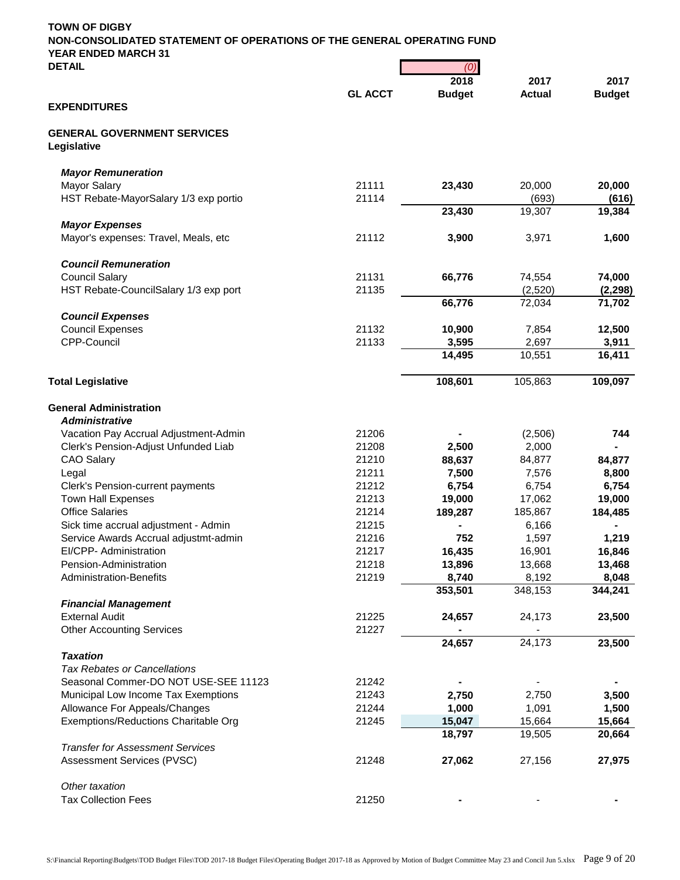| <b>DETAIL</b>                                     |                                              | (0)              |                  |                  |
|---------------------------------------------------|----------------------------------------------|------------------|------------------|------------------|
|                                                   |                                              | 2018             | 2017             | 2017             |
| <b>EXPENDITURES</b>                               | <b>GL ACCT</b>                               | <b>Budget</b>    | <b>Actual</b>    | <b>Budget</b>    |
| <b>GENERAL GOVERNMENT SERVICES</b><br>Legislative |                                              |                  |                  |                  |
| <b>Mayor Remuneration</b>                         |                                              |                  |                  |                  |
| <b>Mayor Salary</b>                               | 21111                                        | 23,430           | 20,000           | 20,000           |
| HST Rebate-MayorSalary 1/3 exp portio             | 21114                                        |                  | (693)            | (616)            |
|                                                   |                                              | 23,430           | 19,307           | 19,384           |
| <b>Mayor Expenses</b>                             |                                              |                  |                  |                  |
| Mayor's expenses: Travel, Meals, etc              | 21112                                        | 3,900            | 3,971            | 1,600            |
| <b>Council Remuneration</b>                       |                                              |                  |                  |                  |
| <b>Council Salary</b>                             | 21131                                        | 66,776           | 74,554           | 74,000           |
| HST Rebate-CouncilSalary 1/3 exp port             | 21135                                        |                  | (2,520)          | (2, 298)         |
|                                                   |                                              | 66,776           | 72,034           | 71,702           |
| <b>Council Expenses</b>                           |                                              |                  |                  |                  |
| <b>Council Expenses</b>                           | 21132                                        | 10,900           | 7,854            | 12,500           |
| CPP-Council                                       | 21133<br>3,595<br>14,495<br>108,601<br>21206 | 2,697            | 3,911            |                  |
|                                                   |                                              |                  | 10,551           | 16,411           |
| <b>Total Legislative</b>                          |                                              |                  | 105,863          | 109,097          |
| <b>General Administration</b>                     |                                              |                  |                  |                  |
| <b>Administrative</b>                             |                                              |                  |                  |                  |
| Vacation Pay Accrual Adjustment-Admin             |                                              |                  | (2,506)          | 744              |
| Clerk's Pension-Adjust Unfunded Liab              | 21208                                        | 2,500            | 2,000            |                  |
| <b>CAO Salary</b>                                 | 21210                                        | 88,637           | 84,877           | 84,877           |
| Legal                                             | 21211                                        | 7,500            | 7,576            | 8,800            |
| Clerk's Pension-current payments                  | 21212                                        | 6,754            | 6,754            | 6,754            |
| <b>Town Hall Expenses</b>                         | 21213                                        | 19,000           | 17,062           | 19,000           |
| <b>Office Salaries</b>                            | 21214                                        | 189,287          | 185,867          | 184,485          |
| Sick time accrual adjustment - Admin              | 21215                                        |                  | 6,166            |                  |
| Service Awards Accrual adjustmt-admin             | 21216                                        | 752              | 1,597            | 1,219            |
| EI/CPP- Administration                            | 21217                                        | 16,435           | 16,901           | 16,846           |
| Pension-Administration                            | 21218                                        | 13,896           | 13,668           | 13,468           |
| <b>Administration-Benefits</b>                    | 21219                                        | 8,740<br>353,501 | 8,192<br>348,153 | 8,048<br>344,241 |
| <b>Financial Management</b>                       |                                              |                  |                  |                  |
| <b>External Audit</b>                             | 21225                                        | 24,657           | 24,173           | 23,500           |
| <b>Other Accounting Services</b>                  | 21227                                        |                  |                  |                  |
|                                                   |                                              | 24,657           | 24,173           | 23,500           |
| <b>Taxation</b>                                   |                                              |                  |                  |                  |
| <b>Tax Rebates or Cancellations</b>               |                                              |                  |                  |                  |
| Seasonal Commer-DO NOT USE-SEE 11123              | 21242                                        |                  |                  |                  |
| Municipal Low Income Tax Exemptions               | 21243                                        | 2,750            | 2,750            | 3,500            |
| Allowance For Appeals/Changes                     | 21244                                        | 1,000            | 1,091            | 1,500            |
| Exemptions/Reductions Charitable Org              | 21245                                        | 15,047           | 15,664           | 15,664           |
|                                                   |                                              | 18,797           | 19,505           | 20,664           |
| <b>Transfer for Assessment Services</b>           |                                              |                  |                  |                  |
| Assessment Services (PVSC)                        | 21248                                        | 27,062           | 27,156           | 27,975           |
| Other taxation                                    |                                              |                  |                  |                  |
| <b>Tax Collection Fees</b>                        | 21250                                        |                  |                  |                  |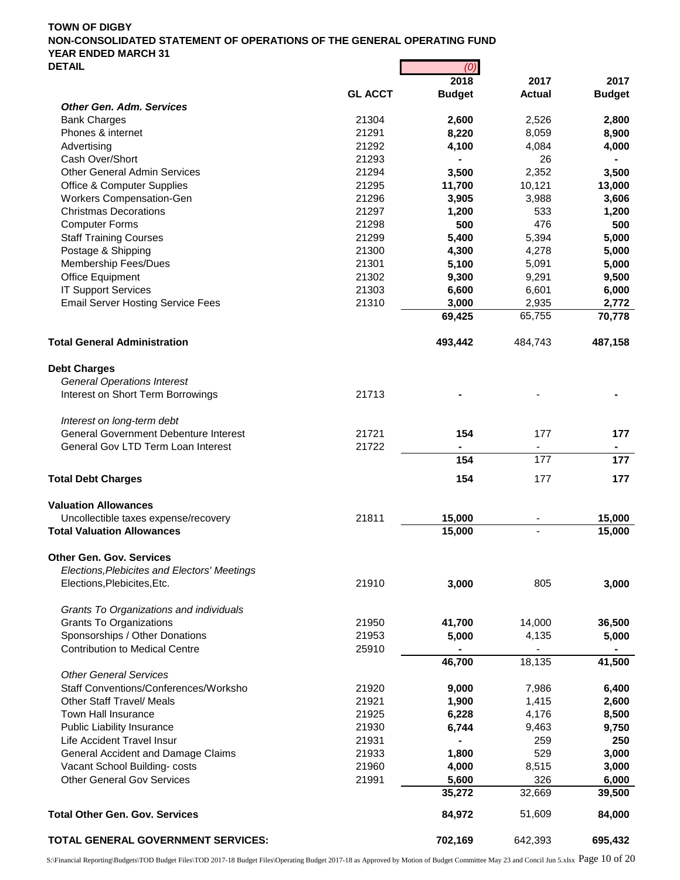|                                              |                | 2018          | 2017          | 2017          |
|----------------------------------------------|----------------|---------------|---------------|---------------|
|                                              | <b>GL ACCT</b> | <b>Budget</b> | <b>Actual</b> | <b>Budget</b> |
| <b>Other Gen. Adm. Services</b>              |                |               |               |               |
| <b>Bank Charges</b>                          | 21304          | 2,600         | 2,526         | 2,800         |
| Phones & internet                            | 21291          | 8,220         | 8,059         | 8,900         |
| Advertising                                  | 21292          | 4,100         | 4,084         | 4,000         |
| Cash Over/Short                              | 21293          |               | 26            |               |
| <b>Other General Admin Services</b>          | 21294          | 3,500         | 2,352         | 3,500         |
| <b>Office &amp; Computer Supplies</b>        | 21295          | 11,700        | 10,121        | 13,000        |
| Workers Compensation-Gen                     | 21296          | 3,905         | 3,988         | 3,606         |
| <b>Christmas Decorations</b>                 | 21297          | 1,200         | 533           | 1,200         |
| <b>Computer Forms</b>                        | 21298          | 500           | 476           | 500           |
| <b>Staff Training Courses</b>                | 21299          | 5,400         | 5,394         | 5,000         |
| Postage & Shipping                           | 21300          | 4,300         | 4,278         | 5,000         |
| Membership Fees/Dues                         | 21301          | 5,100         | 5,091         | 5,000         |
| Office Equipment                             | 21302          | 9,300         | 9,291         | 9,500         |
| <b>IT Support Services</b>                   | 21303          | 6,600         | 6,601         | 6,000         |
| <b>Email Server Hosting Service Fees</b>     | 21310          | 3,000         | 2,935         | 2,772         |
|                                              |                | 69,425        | 65,755        | 70,778        |
| <b>Total General Administration</b>          |                | 493,442       | 484,743       | 487,158       |
| <b>Debt Charges</b>                          |                |               |               |               |
| <b>General Operations Interest</b>           |                |               |               |               |
| Interest on Short Term Borrowings            | 21713          |               |               |               |
| Interest on long-term debt                   |                |               |               |               |
| <b>General Government Debenture Interest</b> | 21721          | 154           | 177           | 177           |
| General Gov LTD Term Loan Interest           | 21722          |               |               |               |
|                                              |                | 154           | 177           | 177           |
| <b>Total Debt Charges</b>                    |                | 154           | 177           | 177           |
| <b>Valuation Allowances</b>                  |                |               |               |               |
| Uncollectible taxes expense/recovery         | 21811          | 15,000        |               | 15,000        |
| <b>Total Valuation Allowances</b>            |                | 15,000        |               | 15,000        |
| <b>Other Gen. Gov. Services</b>              |                |               |               |               |
| Elections, Plebicites and Electors' Meetings |                |               |               |               |
| Elections, Plebicites, Etc.                  | 21910          | 3,000         | 805           | 3,000         |
| Grants To Organizations and individuals      |                |               |               |               |
| <b>Grants To Organizations</b>               | 21950          | 41,700        | 14,000        | 36,500        |
| Sponsorships / Other Donations               | 21953          | 5,000         | 4,135         | 5,000         |
| <b>Contribution to Medical Centre</b>        | 25910          |               |               |               |
|                                              |                | 46,700        | 18,135        | 41,500        |
| <b>Other General Services</b>                |                |               |               |               |
| Staff Conventions/Conferences/Worksho        | 21920          | 9,000         | 7,986         | 6,400         |
| <b>Other Staff Travel/ Meals</b>             | 21921          | 1,900         | 1,415         | 2,600         |
| <b>Town Hall Insurance</b>                   | 21925          | 6,228         | 4,176         | 8,500         |
| <b>Public Liability Insurance</b>            | 21930          | 6,744         | 9,463         | 9,750         |
| Life Accident Travel Insur                   | 21931          |               | 259           | 250           |
| General Accident and Damage Claims           | 21933          | 1,800         | 529           | 3,000         |
| Vacant School Building-costs                 | 21960          | 4,000         | 8,515         | 3,000         |
| <b>Other General Gov Services</b>            | 21991          | 5,600         | 326           | 6,000         |
|                                              |                | 35,272        | 32,669        | 39,500        |
| <b>Total Other Gen. Gov. Services</b>        |                | 84,972        | 51,609        | 84,000        |
| TOTAL GENERAL GOVERNMENT SERVICES:           |                | 702,169       | 642,393       | 695,432       |

S:\Financial Reporting\Budgets\TOD Budget Files\TOD 2017-18 Budget Files\Operating Budget 2017-18 as Approved by Motion of Budget Committee May 23 and Concil Jun 5.xlsx Page 10 of 20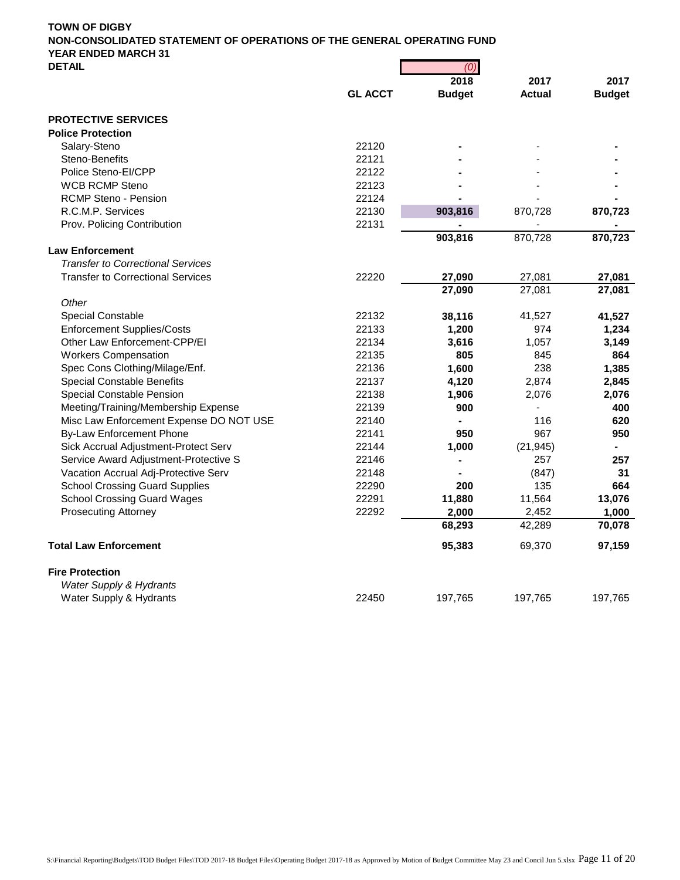| <b>DEIAIL</b>                            |                | (ט'           |               |               |
|------------------------------------------|----------------|---------------|---------------|---------------|
|                                          |                | 2018          | 2017          | 2017          |
|                                          | <b>GL ACCT</b> | <b>Budget</b> | <b>Actual</b> | <b>Budget</b> |
| <b>PROTECTIVE SERVICES</b>               |                |               |               |               |
| <b>Police Protection</b>                 |                |               |               |               |
| Salary-Steno                             | 22120          |               |               |               |
| Steno-Benefits                           | 22121          |               |               |               |
| Police Steno-El/CPP                      | 22122          |               |               |               |
| <b>WCB RCMP Steno</b>                    | 22123          |               |               |               |
| <b>RCMP Steno - Pension</b>              | 22124          |               |               |               |
| R.C.M.P. Services                        | 22130          | 903,816       | 870,728       | 870,723       |
| Prov. Policing Contribution              | 22131          |               |               |               |
|                                          |                | 903,816       | 870,728       | 870,723       |
| <b>Law Enforcement</b>                   |                |               |               |               |
| <b>Transfer to Correctional Services</b> |                |               |               |               |
| <b>Transfer to Correctional Services</b> | 22220          | 27,090        | 27,081        | 27,081        |
|                                          |                | 27,090        | 27,081        | 27,081        |
| Other                                    |                |               |               |               |
| <b>Special Constable</b>                 | 22132          | 38,116        | 41,527        | 41,527        |
| <b>Enforcement Supplies/Costs</b>        | 22133          | 1,200         | 974           | 1,234         |
| Other Law Enforcement-CPP/EI             | 22134          | 3,616         | 1,057         | 3,149         |
| <b>Workers Compensation</b>              | 22135          | 805           | 845           | 864           |
| Spec Cons Clothing/Milage/Enf.           | 22136          | 1,600         | 238           | 1,385         |
| <b>Special Constable Benefits</b>        | 22137          | 4,120         | 2,874         | 2,845         |
| Special Constable Pension                | 22138          | 1,906         | 2,076         | 2,076         |
| Meeting/Training/Membership Expense      | 22139          | 900           |               | 400           |
| Misc Law Enforcement Expense DO NOT USE  | 22140          |               | 116           | 620           |
| <b>By-Law Enforcement Phone</b>          | 22141          | 950           | 967           | 950           |
| Sick Accrual Adjustment-Protect Serv     | 22144          | 1,000         | (21, 945)     |               |
| Service Award Adjustment-Protective S    | 22146          |               | 257           | 257           |
| Vacation Accrual Adj-Protective Serv     | 22148          |               | (847)         | 31            |
| <b>School Crossing Guard Supplies</b>    | 22290          | 200           | 135           | 664           |
| <b>School Crossing Guard Wages</b>       | 22291          | 11,880        | 11,564        | 13,076        |
| <b>Prosecuting Attorney</b>              | 22292          | 2,000         | 2,452         | 1,000         |
|                                          |                | 68,293        | 42,289        | 70,078        |
| <b>Total Law Enforcement</b>             |                | 95,383        | 69,370        | 97,159        |
| <b>Fire Protection</b>                   |                |               |               |               |
| Water Supply & Hydrants                  |                |               |               |               |
| Water Supply & Hydrants                  | 22450          | 197,765       | 197,765       | 197,765       |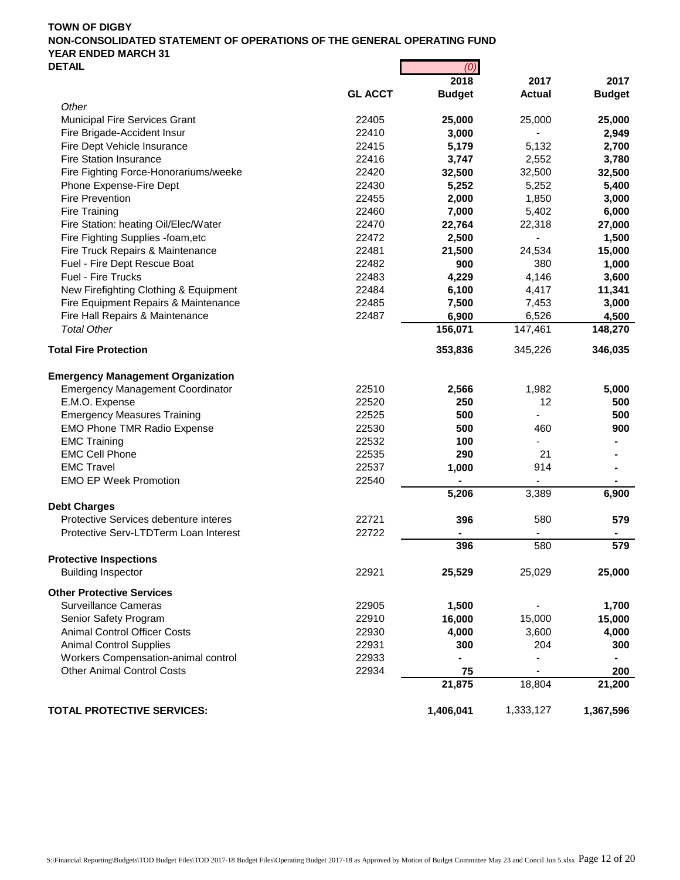| UC I AIL                                 |                | ושן           |               |               |  |  |
|------------------------------------------|----------------|---------------|---------------|---------------|--|--|
|                                          |                | 2018          | 2017          | 2017          |  |  |
| Other                                    | <b>GL ACCT</b> | <b>Budget</b> | <b>Actual</b> | <b>Budget</b> |  |  |
| Municipal Fire Services Grant            | 22405          | 25,000        | 25,000        | 25,000        |  |  |
| Fire Brigade-Accident Insur              | 22410          | 3,000         |               | 2,949         |  |  |
| Fire Dept Vehicle Insurance              | 22415          | 5,179         | 5,132         | 2,700         |  |  |
| <b>Fire Station Insurance</b>            | 22416          | 3,747         | 2,552         | 3,780         |  |  |
| Fire Fighting Force-Honorariums/weeke    | 22420          | 32,500        | 32,500        | 32,500        |  |  |
| Phone Expense-Fire Dept                  | 22430          | 5,252         | 5,252         | 5,400         |  |  |
| Fire Prevention                          | 22455          |               | 1,850         |               |  |  |
| <b>Fire Training</b>                     | 22460          | 2,000         | 5,402         | 3,000         |  |  |
|                                          |                | 7,000         |               | 6,000         |  |  |
| Fire Station: heating Oil/Elec/Water     | 22470          | 22,764        | 22,318        | 27,000        |  |  |
| Fire Fighting Supplies -foam, etc        | 22472          | 2,500         |               | 1,500         |  |  |
| Fire Truck Repairs & Maintenance         | 22481          | 21,500        | 24,534        | 15,000        |  |  |
| Fuel - Fire Dept Rescue Boat             | 22482          | 900           | 380           | 1,000         |  |  |
| Fuel - Fire Trucks                       | 22483          | 4,229         | 4,146         | 3,600         |  |  |
| New Firefighting Clothing & Equipment    | 22484          | 6,100         | 4,417         | 11,341        |  |  |
| Fire Equipment Repairs & Maintenance     | 22485          | 7,500         | 7,453         | 3,000         |  |  |
| Fire Hall Repairs & Maintenance          | 22487          | 6,900         | 6,526         | 4,500         |  |  |
| <b>Total Other</b>                       |                | 156,071       | 147,461       | 148,270       |  |  |
| <b>Total Fire Protection</b>             |                | 353,836       | 345,226       | 346,035       |  |  |
| <b>Emergency Management Organization</b> |                |               |               |               |  |  |
| <b>Emergency Management Coordinator</b>  | 22510          | 2,566         | 1,982         | 5,000         |  |  |
|                                          |                |               |               |               |  |  |
| E.M.O. Expense                           | 22520          | 250           | 12            | 500           |  |  |
| <b>Emergency Measures Training</b>       | 22525          | 500           |               | 500           |  |  |
| <b>EMO Phone TMR Radio Expense</b>       | 22530          | 500           | 460           | 900           |  |  |
| <b>EMC Training</b>                      | 22532          | 100           |               |               |  |  |
| <b>EMC Cell Phone</b>                    | 22535          | 290           | 21            |               |  |  |
| <b>EMC Travel</b>                        | 22537          | 1,000         | 914           |               |  |  |
| <b>EMO EP Week Promotion</b>             | 22540          |               |               |               |  |  |
|                                          |                | 5,206         | 3,389         | 6,900         |  |  |
| <b>Debt Charges</b>                      |                |               |               |               |  |  |
| Protective Services debenture interes    | 22721          | 396           | 580           | 579           |  |  |
| Protective Serv-LTDTerm Loan Interest    | 22722          |               |               |               |  |  |
|                                          |                | 396           | 580           | 579           |  |  |
| <b>Protective Inspections</b>            |                |               |               |               |  |  |
| <b>Building Inspector</b>                | 22921          | 25,529        | 25,029        | 25,000        |  |  |
| <b>Other Protective Services</b>         |                |               |               |               |  |  |
| <b>Surveillance Cameras</b>              | 22905          | 1,500         |               | 1,700         |  |  |
| Senior Safety Program                    | 22910          | 16,000        | 15,000        | 15,000        |  |  |
| <b>Animal Control Officer Costs</b>      | 22930          | 4,000         | 3,600         | 4,000         |  |  |
| <b>Animal Control Supplies</b>           | 22931          | 300           | 204           | 300           |  |  |
| Workers Compensation-animal control      | 22933          |               |               |               |  |  |
| <b>Other Animal Control Costs</b>        | 22934          | 75            |               | 200           |  |  |
|                                          |                | 21,875        | 18,804        | 21,200        |  |  |
| <b>TOTAL PROTECTIVE SERVICES:</b>        |                | 1,406,041     | 1,333,127     | 1,367,596     |  |  |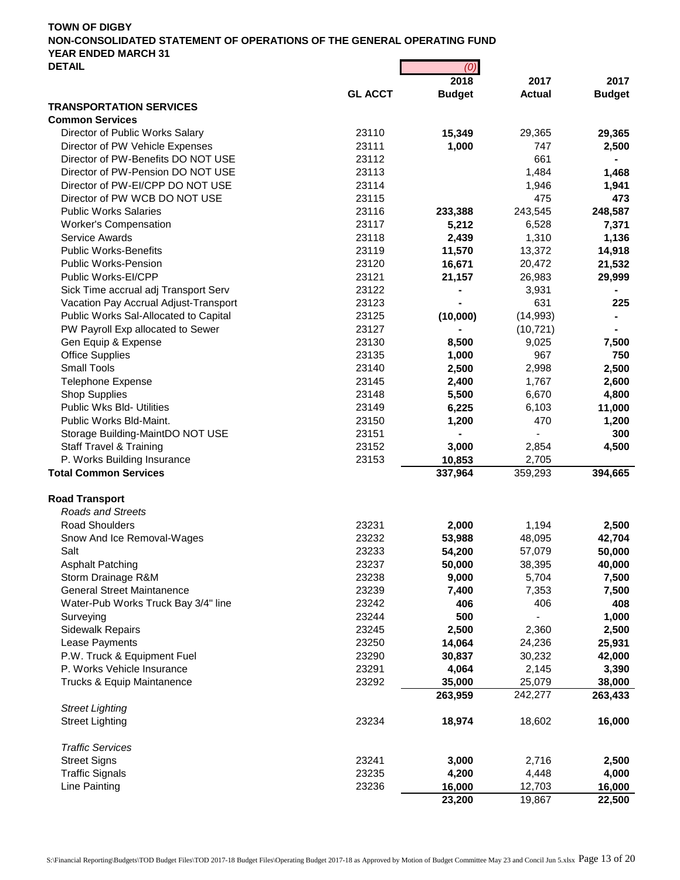| <b>DETAIL</b>                                                 |                | (0)           |               |               |
|---------------------------------------------------------------|----------------|---------------|---------------|---------------|
|                                                               |                | 2018          | 2017          | 2017          |
|                                                               | <b>GL ACCT</b> | <b>Budget</b> | <b>Actual</b> | <b>Budget</b> |
| <b>TRANSPORTATION SERVICES</b>                                |                |               |               |               |
| <b>Common Services</b>                                        | 23110          | 15,349        |               |               |
| Director of Public Works Salary                               | 23111          |               | 29,365<br>747 | 29,365        |
| Director of PW Vehicle Expenses                               |                | 1,000         |               | 2,500         |
| Director of PW-Benefits DO NOT USE                            | 23112          |               | 661           |               |
| Director of PW-Pension DO NOT USE                             | 23113          |               | 1,484         | 1,468         |
| Director of PW-EI/CPP DO NOT USE                              | 23114          |               | 1,946         | 1,941         |
| Director of PW WCB DO NOT USE<br><b>Public Works Salaries</b> | 23115          |               | 475           | 473           |
|                                                               | 23116          | 233,388       | 243,545       | 248,587       |
| Worker's Compensation                                         | 23117          | 5,212         | 6,528         | 7,371         |
| <b>Service Awards</b>                                         | 23118          | 2,439         | 1,310         | 1,136         |
| <b>Public Works-Benefits</b>                                  | 23119          | 11,570        | 13,372        | 14,918        |
| <b>Public Works-Pension</b>                                   | 23120          | 16,671        | 20,472        | 21,532        |
| Public Works-EI/CPP                                           | 23121          | 21,157        | 26,983        | 29,999        |
| Sick Time accrual adj Transport Serv                          | 23122          |               | 3,931         |               |
| Vacation Pay Accrual Adjust-Transport                         | 23123          |               | 631           | 225           |
| Public Works Sal-Allocated to Capital                         | 23125          | (10,000)      | (14, 993)     |               |
| PW Payroll Exp allocated to Sewer                             | 23127          |               | (10, 721)     |               |
| Gen Equip & Expense                                           | 23130          | 8,500         | 9,025         | 7,500         |
| <b>Office Supplies</b>                                        | 23135          | 1,000         | 967           | 750           |
| Small Tools                                                   | 23140          | 2,500         | 2,998         | 2,500         |
| <b>Telephone Expense</b>                                      | 23145          | 2,400         | 1,767         | 2,600         |
| <b>Shop Supplies</b>                                          | 23148          | 5,500         | 6,670         | 4,800         |
| Public Wks Bld- Utilities                                     | 23149          | 6,225         | 6,103         | 11,000        |
| Public Works Bld-Maint.                                       | 23150          | 1,200         | 470           | 1,200         |
| Storage Building-MaintDO NOT USE                              | 23151          |               |               | 300           |
| <b>Staff Travel &amp; Training</b>                            | 23152          | 3,000         | 2,854         | 4,500         |
| P. Works Building Insurance                                   | 23153          | 10,853        | 2,705         |               |
| <b>Total Common Services</b>                                  |                | 337,964       | 359,293       | 394,665       |
| <b>Road Transport</b>                                         |                |               |               |               |
| <b>Roads and Streets</b>                                      |                |               |               |               |
| <b>Road Shoulders</b>                                         | 23231          | 2,000         | 1,194         | 2,500         |
| Snow And Ice Removal-Wages                                    | 23232          | 53,988        | 48,095        |               |
| Salt                                                          | 23233          | 54,200        |               | 42,704        |
|                                                               |                |               | 57,079        | 50,000        |
| <b>Asphalt Patching</b>                                       | 23237          | 50,000        | 38,395        | 40,000        |
| Storm Drainage R&M                                            | 23238          | 9,000         | 5,704         | 7,500         |
| <b>General Street Maintanence</b>                             | 23239          | 7,400         | 7,353         | 7,500         |
| Water-Pub Works Truck Bay 3/4" line                           | 23242          | 406           | 406           | 408           |
| Surveying                                                     | 23244          | 500           |               | 1,000         |
| <b>Sidewalk Repairs</b>                                       | 23245          | 2,500         | 2,360         | 2,500         |
| Lease Payments                                                | 23250          | 14,064        | 24,236        | 25,931        |
| P.W. Truck & Equipment Fuel                                   | 23290          | 30,837        | 30,232        | 42,000        |
| P. Works Vehicle Insurance                                    | 23291          | 4,064         | 2,145         | 3,390         |
| Trucks & Equip Maintanence                                    | 23292          | 35,000        | 25,079        | 38,000        |
|                                                               |                | 263,959       | 242,277       | 263,433       |
| <b>Street Lighting</b>                                        |                |               |               |               |
| <b>Street Lighting</b>                                        | 23234          | 18,974        | 18,602        | 16,000        |
| <b>Traffic Services</b>                                       |                |               |               |               |
| <b>Street Signs</b>                                           | 23241          | 3,000         | 2,716         | 2,500         |
| <b>Traffic Signals</b>                                        | 23235          | 4,200         | 4,448         | 4,000         |
| Line Painting                                                 | 23236          | 16,000        | 12,703        | 16,000        |
|                                                               |                | 23,200        | 19,867        | 22,500        |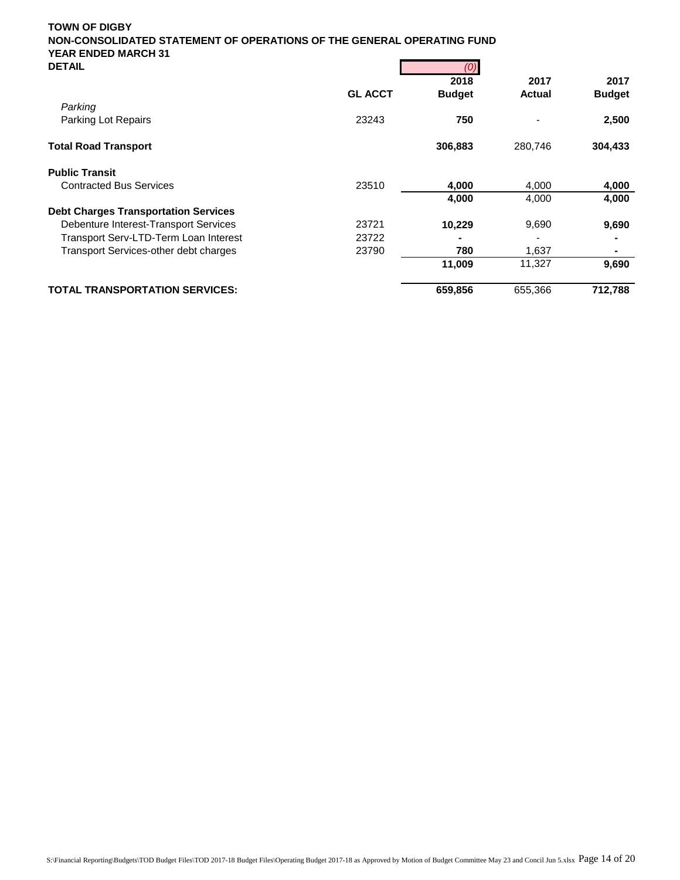| <b>DETAIL</b>                                |                | (0)           |               |               |
|----------------------------------------------|----------------|---------------|---------------|---------------|
|                                              |                | 2018          | 2017          | 2017          |
|                                              | <b>GL ACCT</b> | <b>Budget</b> | <b>Actual</b> | <b>Budget</b> |
| Parking                                      |                |               |               |               |
| Parking Lot Repairs                          | 23243          | 750           |               | 2,500         |
| <b>Total Road Transport</b>                  |                | 306,883       | 280,746       | 304,433       |
| <b>Public Transit</b>                        |                |               |               |               |
| <b>Contracted Bus Services</b>               | 23510          | 4,000         | 4,000         | 4,000         |
|                                              |                | 4,000         | 4,000         | 4,000         |
| <b>Debt Charges Transportation Services</b>  |                |               |               |               |
| Debenture Interest-Transport Services        | 23721          | 10,229        | 9,690         | 9,690         |
| Transport Serv-LTD-Term Loan Interest        | 23722          |               |               |               |
| <b>Transport Services-other debt charges</b> | 23790          | 780           | 1,637         |               |
|                                              |                | 11,009        | 11,327        | 9,690         |
| <b>TOTAL TRANSPORTATION SERVICES:</b>        |                | 659,856       | 655,366       | 712,788       |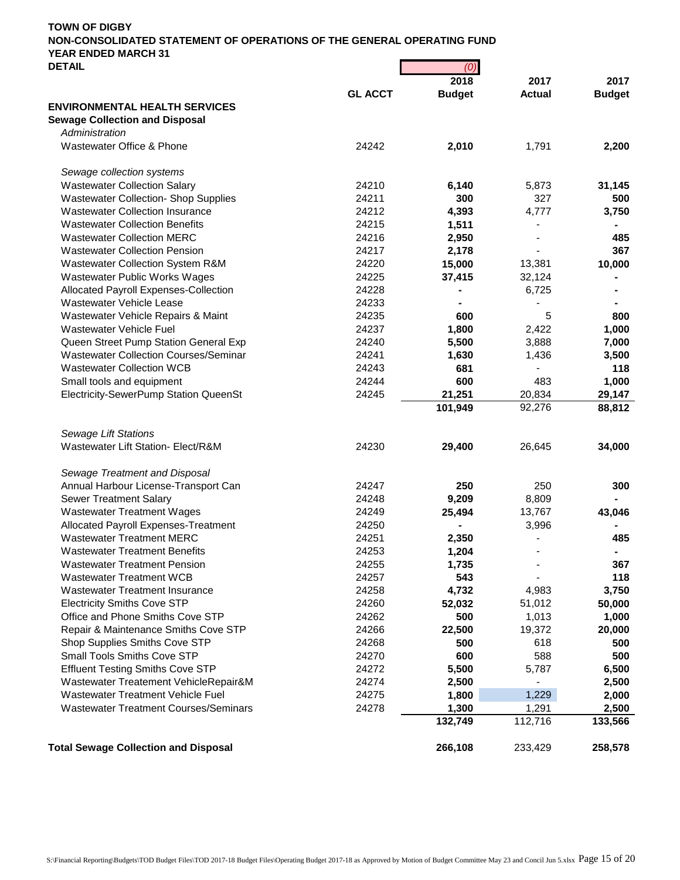| UCIAIL                                       | וש)            |                  |                  |                  |
|----------------------------------------------|----------------|------------------|------------------|------------------|
|                                              | <b>GL ACCT</b> | 2018             | 2017             | 2017             |
| <b>ENVIRONMENTAL HEALTH SERVICES</b>         |                | <b>Budget</b>    | <b>Actual</b>    | <b>Budget</b>    |
| <b>Sewage Collection and Disposal</b>        |                |                  |                  |                  |
| Administration                               |                |                  |                  |                  |
| Wastewater Office & Phone                    | 24242          | 2,010            | 1,791            | 2,200            |
| Sewage collection systems                    |                |                  |                  |                  |
| <b>Wastewater Collection Salary</b>          | 24210          | 6,140            | 5,873            | 31,145           |
| <b>Wastewater Collection- Shop Supplies</b>  | 24211          | 300              | 327              | 500              |
| <b>Wastewater Collection Insurance</b>       | 24212          | 4,393            | 4,777            | 3,750            |
| <b>Wastewater Collection Benefits</b>        | 24215          | 1,511            |                  |                  |
| <b>Wastewater Collection MERC</b>            | 24216          | 2,950            | $\blacksquare$   | 485              |
| <b>Wastewater Collection Pension</b>         | 24217          | 2,178            | $\blacksquare$   | 367              |
| Wastewater Collection System R&M             | 24220          | 15,000           | 13,381           | 10,000           |
| Wastewater Public Works Wages                | 24225          | 37,415           | 32,124           |                  |
| Allocated Payroll Expenses-Collection        | 24228          |                  | 6,725            |                  |
| Wastewater Vehicle Lease                     | 24233          |                  |                  |                  |
| Wastewater Vehicle Repairs & Maint           | 24235          | 600              | 5                | 800              |
| Wastewater Vehicle Fuel                      | 24237          | 1,800            | 2,422            | 1,000            |
| Queen Street Pump Station General Exp        | 24240          | 5,500            | 3,888            | 7,000            |
| <b>Wastewater Collection Courses/Seminar</b> | 24241          | 1,630            | 1,436            | 3,500            |
| <b>Wastewater Collection WCB</b>             | 24243          | 681              |                  | 118              |
| Small tools and equipment                    | 24244          | 600              | 483              | 1,000            |
| Electricity-SewerPump Station QueenSt        | 24245          | 21,251           | 20,834           | 29,147           |
|                                              |                | 101,949          | 92,276           | 88,812           |
| <b>Sewage Lift Stations</b>                  |                |                  |                  |                  |
| Wastewater Lift Station- Elect/R&M           | 24230          | 29,400           | 26,645           | 34,000           |
| Sewage Treatment and Disposal                |                |                  |                  |                  |
| Annual Harbour License-Transport Can         | 24247          | 250              | 250              | 300              |
| Sewer Treatment Salary                       | 24248          | 9,209            | 8,809            |                  |
| <b>Wastewater Treatment Wages</b>            | 24249          | 25,494           | 13,767           | 43,046           |
| Allocated Payroll Expenses-Treatment         | 24250          |                  | 3,996            |                  |
| <b>Wastewater Treatment MERC</b>             | 24251          | 2,350            |                  | 485              |
| <b>Wastewater Treatment Benefits</b>         | 24253          | 1,204            |                  |                  |
| <b>Wastewater Treatment Pension</b>          | 24255          | 1,735            |                  | 367              |
| <b>Wastewater Treatment WCB</b>              | 24257          | 543              |                  | 118              |
| <b>Wastewater Treatment Insurance</b>        | 24258          | 4,732            | 4,983            | 3,750            |
| <b>Electricity Smiths Cove STP</b>           | 24260          | 52,032           | 51,012           | 50,000           |
| Office and Phone Smiths Cove STP             | 24262          | 500              | 1,013            | 1,000            |
| Repair & Maintenance Smiths Cove STP         | 24266          | 22,500           | 19,372           | 20,000           |
| Shop Supplies Smiths Cove STP                | 24268          | 500              | 618              | 500              |
| <b>Small Tools Smiths Cove STP</b>           | 24270          | 600              | 588              | 500              |
| <b>Effluent Testing Smiths Cove STP</b>      | 24272          | 5,500            | 5,787            | 6,500            |
| Wastewater Treatement VehicleRepair&M        | 24274          | 2,500            |                  | 2,500            |
| Wastewater Treatment Vehicle Fuel            | 24275          | 1,800            | 1,229            | 2,000            |
| <b>Wastewater Treatment Courses/Seminars</b> | 24278          | 1,300<br>132,749 | 1,291<br>112,716 | 2,500<br>133,566 |
|                                              |                |                  |                  |                  |
| <b>Total Sewage Collection and Disposal</b>  |                | 266,108          | 233,429          | 258,578          |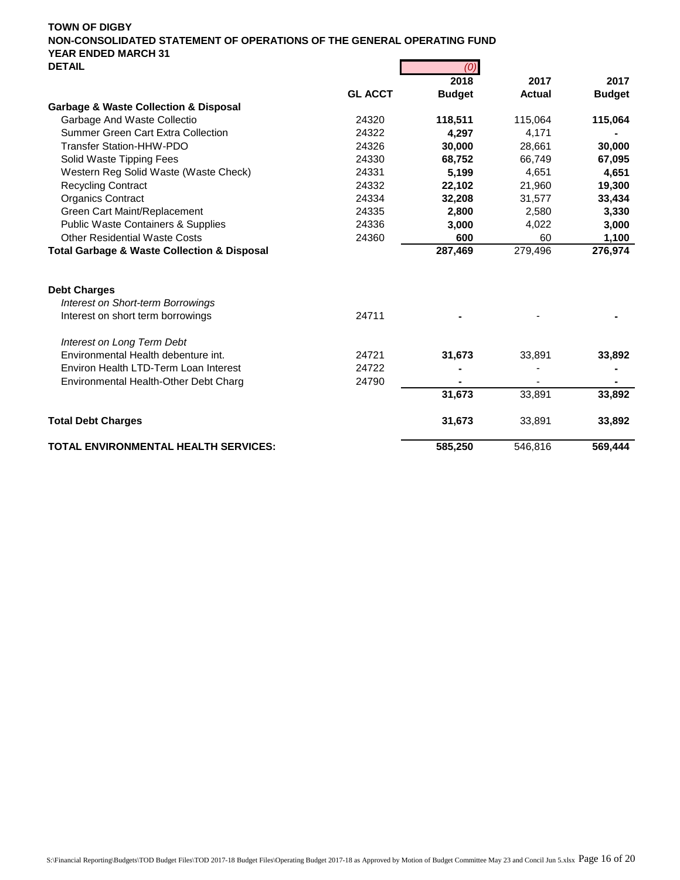| <b>レㄴ   ⌒'ㄴ</b>                                            |                | $(\cup)$      |               |               |
|------------------------------------------------------------|----------------|---------------|---------------|---------------|
|                                                            |                | 2018          | 2017          | 2017          |
|                                                            | <b>GL ACCT</b> | <b>Budget</b> | <b>Actual</b> | <b>Budget</b> |
| <b>Garbage &amp; Waste Collection &amp; Disposal</b>       |                |               |               |               |
| Garbage And Waste Collectio                                | 24320          | 118,511       | 115,064       | 115,064       |
| Summer Green Cart Extra Collection                         | 24322          | 4.297         | 4,171         |               |
| Transfer Station-HHW-PDO                                   | 24326          | 30,000        | 28.661        | 30,000        |
| Solid Waste Tipping Fees                                   | 24330          | 68,752        | 66,749        | 67,095        |
| Western Reg Solid Waste (Waste Check)                      | 24331          | 5,199         | 4,651         | 4,651         |
| <b>Recycling Contract</b>                                  | 24332          | 22,102        | 21,960        | 19,300        |
| <b>Organics Contract</b>                                   | 24334          | 32,208        | 31,577        | 33,434        |
| Green Cart Maint/Replacement                               | 24335          | 2,800         | 2,580         | 3,330         |
| <b>Public Waste Containers &amp; Supplies</b>              | 24336          | 3,000         | 4,022         | 3,000         |
| <b>Other Residential Waste Costs</b>                       | 24360          | 600           | 60            | 1,100         |
| <b>Total Garbage &amp; Waste Collection &amp; Disposal</b> |                | 287,469       | 279,496       | 276,974       |
| <b>Debt Charges</b>                                        |                |               |               |               |
| <b>Interest on Short-term Borrowings</b>                   |                |               |               |               |
| Interest on short term borrowings                          | 24711          |               |               |               |
| Interest on Long Term Debt                                 |                |               |               |               |
| Environmental Health debenture int.                        | 24721          | 31,673        | 33,891        | 33,892        |
| Environ Health LTD-Term Loan Interest                      | 24722          |               |               |               |
| Environmental Health-Other Debt Charg                      | 24790          |               |               |               |
|                                                            |                | 31,673        | 33,891        | 33,892        |
| <b>Total Debt Charges</b>                                  |                | 31,673        | 33,891        | 33,892        |
| <b>TOTAL ENVIRONMENTAL HEALTH SERVICES:</b>                |                | 585,250       | 546,816       | 569,444       |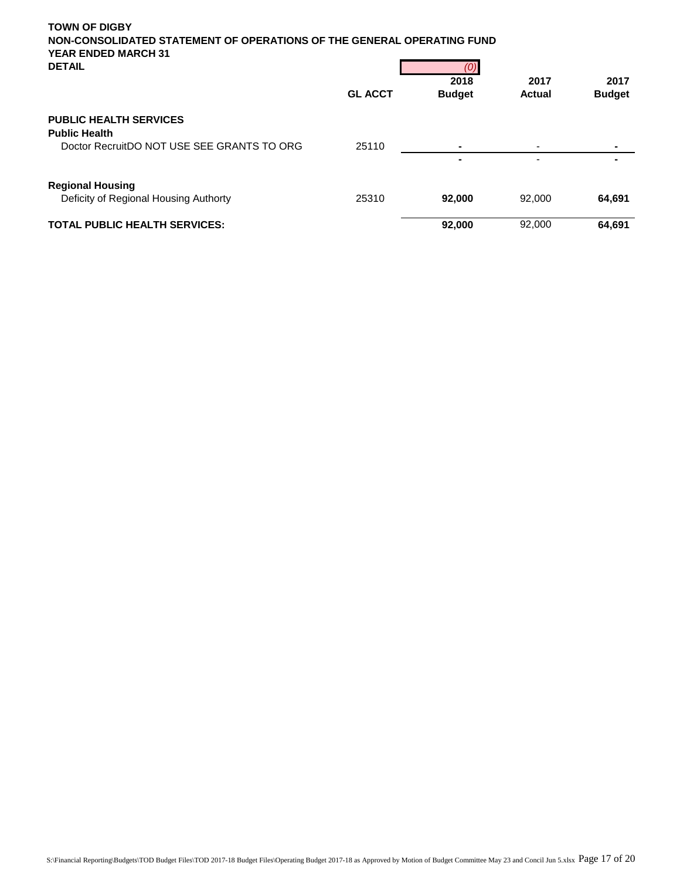| <b>TOWN OF DIGBY</b>                                                                                 |                |               |               |               |
|------------------------------------------------------------------------------------------------------|----------------|---------------|---------------|---------------|
| NON-CONSOLIDATED STATEMENT OF OPERATIONS OF THE GENERAL OPERATING FUND<br><b>YEAR ENDED MARCH 31</b> |                |               |               |               |
| <b>DETAIL</b>                                                                                        |                |               |               |               |
|                                                                                                      |                | 2018          | 2017          | 2017          |
|                                                                                                      | <b>GL ACCT</b> | <b>Budget</b> | <b>Actual</b> | <b>Budget</b> |
| <b>PUBLIC HEALTH SERVICES</b>                                                                        |                |               |               |               |
| <b>Public Health</b>                                                                                 |                |               |               |               |
| Doctor RecruitDO NOT USE SEE GRANTS TO ORG                                                           | 25110          | -             |               |               |

|                                                                  |       |        | $\overline{\phantom{0}}$ |        |
|------------------------------------------------------------------|-------|--------|--------------------------|--------|
| <b>Regional Housing</b><br>Deficity of Regional Housing Authorty | 25310 | 92.000 | 92.000                   | 64.691 |
| <b>TOTAL PUBLIC HEALTH SERVICES:</b>                             |       | 92,000 | 92,000                   | 64.691 |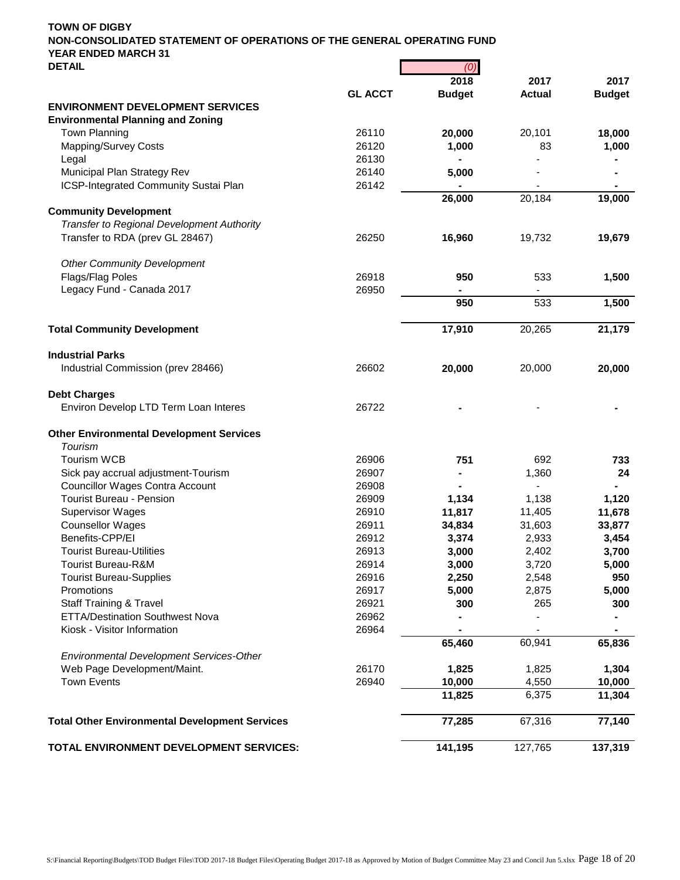| <b>DETAIL</b>                                         |                | (0)           |               |               |
|-------------------------------------------------------|----------------|---------------|---------------|---------------|
|                                                       |                | 2018          | 2017          | 2017          |
|                                                       | <b>GL ACCT</b> | <b>Budget</b> | <b>Actual</b> | <b>Budget</b> |
| <b>ENVIRONMENT DEVELOPMENT SERVICES</b>               |                |               |               |               |
| <b>Environmental Planning and Zoning</b>              |                |               |               |               |
| <b>Town Planning</b>                                  | 26110          | 20,000        | 20,101        | 18,000        |
| Mapping/Survey Costs                                  | 26120          | 1,000         | 83            | 1,000         |
| Legal                                                 | 26130          |               |               |               |
| Municipal Plan Strategy Rev                           | 26140          | 5,000         |               |               |
| ICSP-Integrated Community Sustai Plan                 | 26142          |               |               |               |
|                                                       |                | 26,000        | 20,184        | 19,000        |
| <b>Community Development</b>                          |                |               |               |               |
| <b>Transfer to Regional Development Authority</b>     |                |               |               |               |
| Transfer to RDA (prev GL 28467)                       | 26250          | 16,960        | 19,732        | 19,679        |
|                                                       |                |               |               |               |
| <b>Other Community Development</b>                    |                |               |               |               |
| Flags/Flag Poles                                      | 26918          | 950           | 533           | 1,500         |
| Legacy Fund - Canada 2017                             | 26950          |               |               |               |
|                                                       |                | 950           | 533           | 1,500         |
| <b>Total Community Development</b>                    |                | 17,910        | 20,265        | 21,179        |
| <b>Industrial Parks</b>                               |                |               |               |               |
| Industrial Commission (prev 28466)                    | 26602          | 20,000        | 20,000        | 20,000        |
|                                                       |                |               |               |               |
| <b>Debt Charges</b>                                   |                |               |               |               |
| Environ Develop LTD Term Loan Interes                 | 26722          |               |               |               |
| <b>Other Environmental Development Services</b>       |                |               |               |               |
| Tourism                                               |                |               |               |               |
| <b>Tourism WCB</b>                                    | 26906          | 751           | 692           | 733           |
| Sick pay accrual adjustment-Tourism                   | 26907          | ۰             | 1,360         | 24            |
| <b>Councillor Wages Contra Account</b>                | 26908          |               |               |               |
| <b>Tourist Bureau - Pension</b>                       | 26909          | 1,134         | 1,138         | 1,120         |
| <b>Supervisor Wages</b>                               | 26910          | 11,817        | 11,405        | 11,678        |
| <b>Counsellor Wages</b>                               | 26911          | 34,834        | 31,603        | 33,877        |
| Benefits-CPP/EI                                       | 26912          | 3,374         | 2,933         | 3,454         |
| <b>Tourist Bureau-Utilities</b>                       | 26913          | 3,000         | 2,402         | 3,700         |
|                                                       |                |               |               |               |
| Tourist Bureau-R&M                                    | 26914          | 3,000         | 3,720         | 5,000         |
| <b>Tourist Bureau-Supplies</b>                        | 26916          | 2,250         | 2,548         | 950           |
| Promotions                                            | 26917          | 5,000         | 2,875         | 5,000         |
| <b>Staff Training &amp; Travel</b>                    | 26921          | 300           | 265           | 300           |
| <b>ETTA/Destination Southwest Nova</b>                | 26962          |               |               |               |
| Kiosk - Visitor Information                           | 26964          |               |               |               |
|                                                       |                | 65,460        | 60,941        | 65,836        |
| Environmental Development Services-Other              |                |               |               |               |
| Web Page Development/Maint.                           | 26170          | 1,825         | 1,825         | 1,304         |
| <b>Town Events</b>                                    | 26940          | 10,000        | 4,550         | 10,000        |
|                                                       |                | 11,825        | 6,375         | 11,304        |
| <b>Total Other Environmental Development Services</b> |                | 77,285        | 67,316        | 77,140        |
| TOTAL ENVIRONMENT DEVELOPMENT SERVICES:               |                | 141,195       | 127,765       | 137,319       |
|                                                       |                |               |               |               |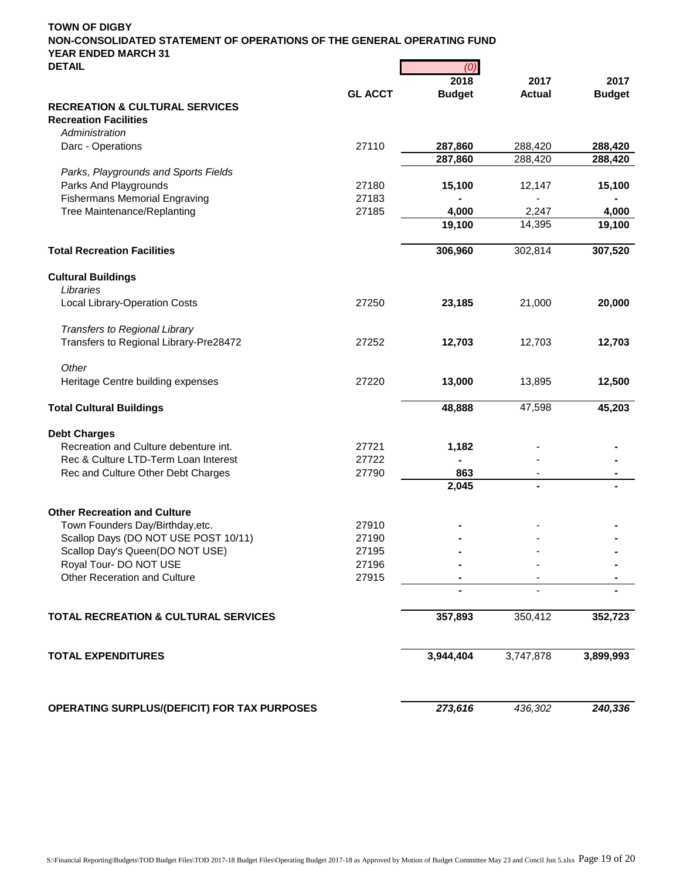| <b>DETAIL</b>                                   |                | (0)           |               |               |
|-------------------------------------------------|----------------|---------------|---------------|---------------|
|                                                 |                | 2018          | 2017          | 2017          |
|                                                 | <b>GL ACCT</b> | <b>Budget</b> | <b>Actual</b> | <b>Budget</b> |
| <b>RECREATION &amp; CULTURAL SERVICES</b>       |                |               |               |               |
| <b>Recreation Facilities</b>                    |                |               |               |               |
| Administration                                  |                |               |               |               |
| Darc - Operations                               | 27110          | 287,860       | 288,420       | 288,420       |
|                                                 |                | 287,860       | 288,420       | 288,420       |
| Parks, Playgrounds and Sports Fields            |                |               |               |               |
| Parks And Playgrounds                           | 27180          | 15,100        | 12,147        | 15,100        |
| <b>Fishermans Memorial Engraving</b>            | 27183          |               |               |               |
| Tree Maintenance/Replanting                     | 27185          | 4,000         | 2,247         | 4,000         |
|                                                 |                | 19,100        | 14,395        | 19,100        |
| <b>Total Recreation Facilities</b>              |                | 306,960       | 302,814       | 307,520       |
| <b>Cultural Buildings</b>                       |                |               |               |               |
| Libraries                                       |                |               |               |               |
| Local Library-Operation Costs                   | 27250          | 23,185        | 21,000        | 20,000        |
|                                                 |                |               |               |               |
| Transfers to Regional Library                   |                |               |               |               |
| Transfers to Regional Library-Pre28472          | 27252          | 12,703        | 12,703        | 12,703        |
| Other                                           |                |               |               |               |
| Heritage Centre building expenses               | 27220          | 13,000        | 13,895        | 12,500        |
| <b>Total Cultural Buildings</b>                 |                | 48,888        | 47,598        | 45,203        |
| <b>Debt Charges</b>                             |                |               |               |               |
| Recreation and Culture debenture int.           | 27721          | 1,182         |               |               |
| Rec & Culture LTD-Term Loan Interest            | 27722          |               |               |               |
| Rec and Culture Other Debt Charges              | 27790          | 863           |               |               |
|                                                 |                | 2,045         |               |               |
| <b>Other Recreation and Culture</b>             |                |               |               |               |
| Town Founders Day/Birthday, etc.                | 27910          |               |               |               |
| Scallop Days (DO NOT USE POST 10/11)            | 27190          |               |               |               |
| Scallop Day's Queen(DO NOT USE)                 | 27195          |               |               |               |
| Royal Tour- DO NOT USE                          | 27196          |               |               |               |
| Other Receration and Culture                    | 27915          |               |               |               |
|                                                 |                |               |               |               |
| <b>TOTAL RECREATION &amp; CULTURAL SERVICES</b> |                | 357,893       | 350,412       | 352,723       |
| <b>TOTAL EXPENDITURES</b>                       |                | 3,944,404     | 3,747,878     | 3,899,993     |
| OPERATING SURPLUS/(DEFICIT) FOR TAX PURPOSES    |                | 273,616       | 436,302       | 240,336       |